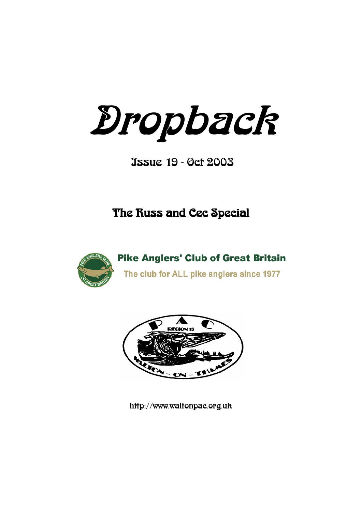Dropback

Issue 19 - Oct 2003

# The Russ and Cec Special



**Pike Anglers' Club of Great Britain** The club for ALL pike anglers since 1977



http://www.waltonpac.org.uk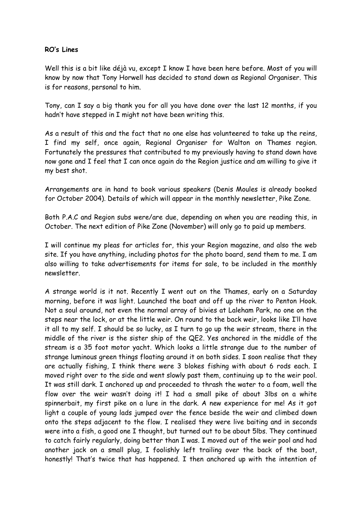#### **RO's Lines**

Well this is a bit like déjà vu, except I know I have been here before. Most of you will know by now that Tony Horwell has decided to stand down as Regional Organiser. This is for reasons, personal to him.

Tony, can I say a big thank you for all you have done over the last 12 months, if you hadn"t have stepped in I might not have been writing this.

As a result of this and the fact that no one else has volunteered to take up the reins, I find my self, once again, Regional Organiser for Walton on Thames region. Fortunately the pressures that contributed to my previously having to stand down have now gone and I feel that I can once again do the Region justice and am willing to give it my best shot.

Arrangements are in hand to book various speakers (Denis Moules is already booked for October 2004). Details of which will appear in the monthly newsletter, Pike Zone.

Both P.A.C and Region subs were/are due, depending on when you are reading this, in October. The next edition of Pike Zone (November) will only go to paid up members.

I will continue my pleas for articles for, this your Region magazine, and also the web site. If you have anything, including photos for the photo board, send them to me. I am also willing to take advertisements for items for sale, to be included in the monthly newsletter.

A strange world is it not. Recently I went out on the Thames, early on a Saturday morning, before it was light. Launched the boat and off up the river to Penton Hook. Not a soul around, not even the normal array of bivies at Laleham Park, no one on the steps near the lock, or at the little weir. On round to the back weir, looks like I"ll have it all to my self. I should be so lucky, as I turn to go up the weir stream, there in the middle of the river is the sister ship of the QE2. Yes anchored in the middle of the stream is a 35 foot motor yacht. Which looks a little strange due to the number of strange luminous green things floating around it on both sides. I soon realise that they are actually fishing, I think there were 3 blokes fishing with about 6 rods each. I moved right over to the side and went slowly past them, continuing up to the weir pool. It was still dark. I anchored up and proceeded to thrash the water to a foam, well the flow over the weir wasn't doing it! I had a small pike of about 3lbs on a white spinnerbait, my first pike on a lure in the dark. A new experience for me! As it got light a couple of young lads jumped over the fence beside the weir and climbed down onto the steps adjacent to the flow. I realised they were live baiting and in seconds were into a fish, a good one I thought, but turned out to be about 5lbs. They continued to catch fairly regularly, doing better than I was. I moved out of the weir pool and had another jack on a small plug, I foolishly left trailing over the back of the boat, honestly! That"s twice that has happened. I then anchored up with the intention of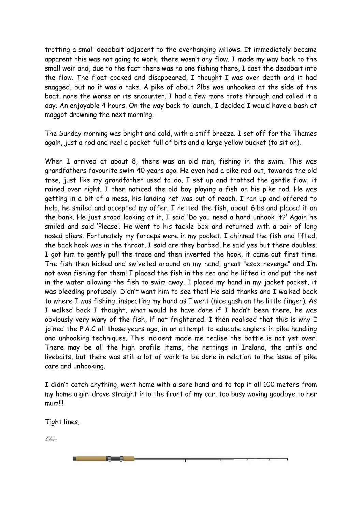trotting a small deadbait adjacent to the overhanging willows. It immediately became apparent this was not going to work, there wasn"t any flow. I made my way back to the small weir and, due to the fact there was no one fishing there, I cast the deadbait into the flow. The float cocked and disappeared, I thought I was over depth and it had snagged, but no it was a take. A pike of about 2lbs was unhooked at the side of the boat, none the worse or its encounter. I had a few more trots through and called it a day. An enjoyable 4 hours. On the way back to launch, I decided I would have a bash at maggot drowning the next morning.

The Sunday morning was bright and cold, with a stiff breeze. I set off for the Thames again, just a rod and reel a pocket full of bits and a large yellow bucket (to sit on).

When I arrived at about 8, there was an old man, fishing in the swim. This was grandfathers favourite swim 40 years ago. He even had a pike rod out, towards the old tree, just like my grandfather used to do. I set up and trotted the gentle flow, it rained over night. I then noticed the old boy playing a fish on his pike rod. He was getting in a bit of a mess, his landing net was out of reach. I ran up and offered to help, he smiled and accepted my offer. I netted the fish, about 6lbs and placed it on the bank. He just stood looking at it, I said "Do you need a hand unhook it?" Again he smiled and said 'Please'. He went to his tackle box and returned with a pair of long nosed pliers. Fortunately my forceps were in my pocket. I chinned the fish and lifted, the back hook was in the throat. I said are they barbed, he said yes but there doubles. I got him to gently pull the trace and then inverted the hook, it came out first time. The fish then kicked and swivelled around on my hand, great "esox revenge" and I"m not even fishing for them! I placed the fish in the net and he lifted it and put the net in the water allowing the fish to swim away. I placed my hand in my jacket pocket, it was bleeding profusely. Didn"t want him to see that! He said thanks and I walked back to where I was fishing, inspecting my hand as I went (nice gash on the little finger). As I walked back I thought, what would he have done if I hadn"t been there, he was obviously very wary of the fish, if not frightened. I then realised that this is why I joined the P.A.C all those years ago, in an attempt to educate anglers in pike handling and unhooking techniques. This incident made me realise the battle is not yet over. There may be all the high profile items, the nettings in Ireland, the anti"s and livebaits, but there was still a lot of work to be done in relation to the issue of pike care and unhooking.

I didn"t catch anything, went home with a sore hand and to top it all 100 meters from my home a girl drove straight into the front of my car, too busy waving goodbye to her mum!!!

Tight lines,

**Francis** 

Dave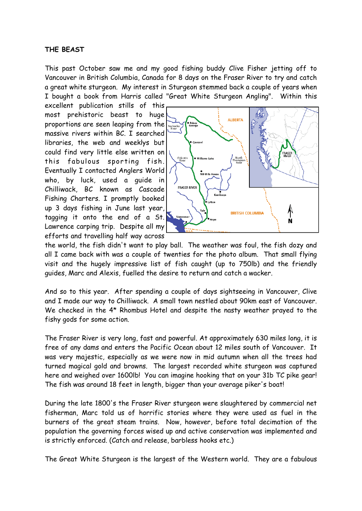#### **THE BEAST**

This past October saw me and my good fishing buddy Clive Fisher jetting off to Vancouver in British Columbia, Canada for 8 days on the Fraser River to try and catch a great white sturgeon. My interest in Sturgeon stemmed back a couple of years when I bought a book from Harris called "Great White Sturgeon Angling". Within this

excellent publication stills of this most prehistoric beast to huge proportions are seen leaping from the massive rivers within BC. I searched libraries, the web and weeklys but could find very little else written on this fabulous sporting fish. Eventually I contacted Anglers World who, by luck, used a guide in Chilliwack, BC known as Cascade Fishing Charters. I promptly booked up 3 days fishing in June last year, tagging it onto the end of a St. Lawrence carping trip. Despite all my efforts and travelling half way across



the world, the fish didn't want to play ball. The weather was foul, the fish dozy and all I came back with was a couple of twenties for the photo album. That small flying visit and the hugely impressive list of fish caught (up to 750lb) and the friendly guides, Marc and Alexis, fuelled the desire to return and catch a wacker.

And so to this year. After spending a couple of days sightseeing in Vancouver, Clive and I made our way to Chilliwack. A small town nestled about 90km east of Vancouver. We checked in the 4\* Rhombus Hotel and despite the nasty weather prayed to the fishy gods for some action.

The Fraser River is very long, fast and powerful. At approximately 630 miles long, it is free of any dams and enters the Pacific Ocean about 12 miles south of Vancouver. It was very majestic, especially as we were now in mid autumn when all the trees had turned magical gold and browns. The largest recorded white sturgeon was captured here and weighed over 1600lb! You can imagine hooking that on your 31b TC pike gear! The fish was around 18 feet in length, bigger than your average piker's boat!

During the late 1800's the Fraser River sturgeon were slaughtered by commercial net fisherman, Marc told us of horrific stories where they were used as fuel in the burners of the great steam trains. Now, however, before total decimation of the population the governing forces wised up and active conservation was implemented and is strictly enforced. (Catch and release, barbless hooks etc.)

The Great White Sturgeon is the largest of the Western world. They are a fabulous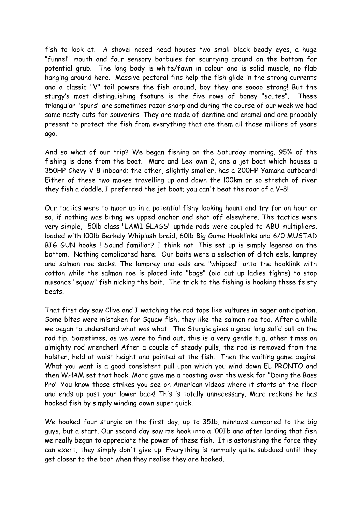fish to look at. A shovel nosed head houses two small black beady eyes, a huge "funnel" mouth and four sensory barbules for scurrying around on the bottom for potential grub. The long body is white/fawn in colour and is solid muscle, no flab hanging around here. Massive pectoral fins help the fish glide in the strong currents and a classic "V" tail powers the fish around, boy they are soooo strong! But the sturgy"s most distinguishing feature is the five rows of boney "scutes". These triangular "spurs" are sometimes razor sharp and during the course of our week we had some nasty cuts for souvenirs! They are made of dentine and enamel and are probably present to protect the fish from everything that ate them all those millions of years ago.

And so what of our trip? We began fishing on the Saturday morning. 95% of the fishing is done from the boat. Marc and Lex own 2, one a jet boat which houses a 350HP Chevy V-8 inboard; the other, slightly smaller, has a 200HP Yamaha outboard! Either of these two makes travelling up and down the l00km or so stretch of river they fish a doddle. I preferred the jet boat; you can't beat the roar of a V-8!

Our tactics were to moor up in a potential fishy looking haunt and try for an hour or so, if nothing was biting we upped anchor and shot off elsewhere. The tactics were very simple, 50lb class "LAMI GLASS" uptide rods were coupled to ABU multipliers, loaded with l00lb Berkely Whiplash braid, 60lb Big Game Hooklinks and 6/0 MUSTAD BIG GUN hooks ! Sound familiar? I think not! This set up is simply legered on the bottom. Nothing complicated here. Our baits were a selection of ditch eels, lamprey and salmon roe sacks. The lamprey and eels are "whipped" onto the hooklink with cotton while the salmon roe is placed into "bags" (old cut up ladies tights) to stop nuisance "squaw" fish nicking the bait. The trick to the fishing is hooking these feisty beats.

That first day saw Clive and I watching the rod tops like vultures in eager anticipation. Some bites were mistaken for Squaw fish, they like the salmon roe too. After a while we began to understand what was what. The Sturgie gives a good long solid pull on the rod tip. Sometimes, as we were to find out, this is a very gentle tug, other times an almighty rod wrencher! After a couple of steady pulls, the rod is removed from the holster, held at waist height and pointed at the fish. Then the waiting game begins. What you want is a good consistent pull upon which you wind down EL PRONTO and then WHAM set that hook. Marc gave me a roasting over the week for "Doing the Bass Pro" You know those strikes you see on American videos where it starts at the floor and ends up past your lower back! This is totally unnecessary. Marc reckons he has hooked fish by simply winding down super quick.

We hooked four sturgie on the first day, up to 351b, minnows compared to the big guys, but a start. Our second day saw me hook into a l00Ib and after landing that fish we really began to appreciate the power of these fish. It is astonishing the force they can exert, they simply don't give up. Everything is normally quite subdued until they get closer to the boat when they realise they are hooked.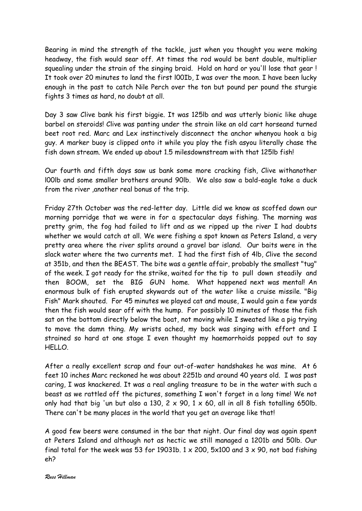Bearing in mind the strength of the tackle, just when you thought you were making headway, the fish would sear off. At times the rod would be bent double, multiplier squealing under the strain of the singing braid. Hold on hard or you'll lose that gear ! It took over 20 minutes to land the first l00Ib, I was over the moon. I have been lucky enough in the past to catch Nile Perch over the ton but pound per pound the sturgie fights 3 times as hard, no doubt at all.

Day 3 saw Clive bank his first biggie. It was 125lb and was utterly bionic like ahuge barbel on steroids! Clive was panting under the strain like an old cart horseand turned beet root red. Marc and Lex instinctively disconnect the anchor whenyou hook a big guy. A marker buoy is clipped onto it while you play the fish asyou literally chase the fish down stream. We ended up about 1.5 milesdownstream with that 125lb fish!

Our fourth and fifth days saw us bank some more cracking fish, Clive withanother l00lb and some smaller brothers around 90lb. We also saw a bald-eagle take a duck from the river ,another real bonus of the trip.

Friday 27th October was the red-letter day. Little did we know as scoffed down our morning porridge that we were in for a spectacular days fishing. The morning was pretty grim, the fog had failed to lift and as we ripped up the river I had doubts whether we would catch at all. We were fishing a spot known as Peters Island, a very pretty area where the river splits around a gravel bar island. Our baits were in the slack water where the two currents met. I had the first fish of 4lb, Clive the second at 351b, and then the BEAST. The bite was a gentle affair, probably the smallest "tug" of the week. I got ready for the strike, waited for the tip to pull down steadily and then BOOM, set the BIG GUN home. What happened next was mental! An enormous bulk of fish erupted skywards out of the water like a cruise missile. "Big Fish" Mark shouted. For 45 minutes we played cat and mouse, I would gain a few yards then the fish would sear off with the hump. For possibly 10 minutes of those the fish sat on the bottom directly below the boat, not moving while I sweated like a pig trying to move the damn thing. My wrists ached, my back was singing with effort and I strained so hard at one stage I even thought my haemorrhoids popped out to say HELLO.

After a really excellent scrap and four out-of-water handshakes he was mine. At 6 feet 10 inches Marc reckoned he was about 2251b and around 40 years old. I was past caring, I was knackered. It was a real angling treasure to be in the water with such a beast as we rattled off the pictures, something I won't forget in a long time! We not only had that big 'un but also a 130, 2  $\times$  90, 1  $\times$  60, all in all 8 fish totalling 650lb. There can't be many places in the world that you get an average like that!

A good few beers were consumed in the bar that night. Our final day was again spent at Peters Island and although not as hectic we still managed a 1201b and 50lb. Our final total for the week was 53 for 19031b.  $1 \times 200$ ,  $5 \times 100$  and  $3 \times 90$ , not bad fishing eh?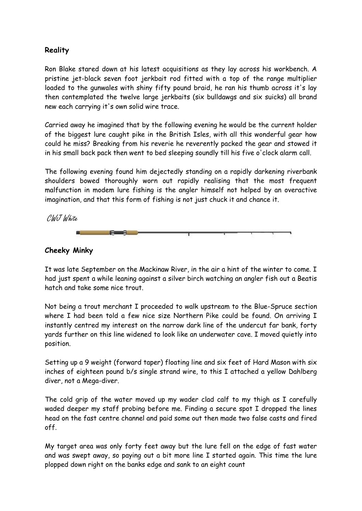### **Reality**

Ron Blake stared down at his latest acquisitions as they lay across his workbench. A pristine jet-black seven foot jerkbait rod fitted with a top of the range multiplier loaded to the gunwales with shiny fifty pound braid, he ran his thumb across it's lay then contemplated the twelve large jerkbaits (six bulldawgs and six suicks) all brand new each carrying it's own solid wire trace.

Carried away he imagined that by the following evening he would be the current holder of the biggest lure caught pike in the British Isles, with all this wonderful gear how could he miss? Breaking from his reverie he reverently packed the gear and stowed it in his small back pack then went to bed sleeping soundly till his five o'clock alarm call.

The following evening found him dejectedly standing on a rapidly darkening riverbank shoulders bowed thoroughly worn out rapidly realising that the most frequent malfunction in modem lure fishing is the angler himself not helped by an overactive imagination, and that this form of fishing is not just chuck it and chance it.

CWJ White



#### **Cheeky Minky**

It was late September on the Mackinaw River, in the air a hint of the winter to come. I had just spent a while leaning against a silver birch watching an angler fish out a Beatis hatch and take some nice trout.

Not being a trout merchant I proceeded to walk upstream to the Blue-Spruce section where I had been told a few nice size Northern Pike could be found. On arriving I instantly centred my interest on the narrow dark line of the undercut far bank, forty yards further on this line widened to look like an underwater cave. I moved quietly into position.

Setting up a 9 weight (forward taper) floating line and six feet of Hard Mason with six inches of eighteen pound b/s single strand wire, to this I attached a yellow Dahlberg diver, not a Mega-diver.

The cold grip of the water moved up my wader clad calf to my thigh as I carefully waded deeper my staff probing before me. Finding a secure spot I dropped the lines head on the fast centre channel and paid some out then made two false casts and fired off.

My target area was only forty feet away but the lure fell on the edge of fast water and was swept away, so paying out a bit more line I started again. This time the lure plopped down right on the banks edge and sank to an eight count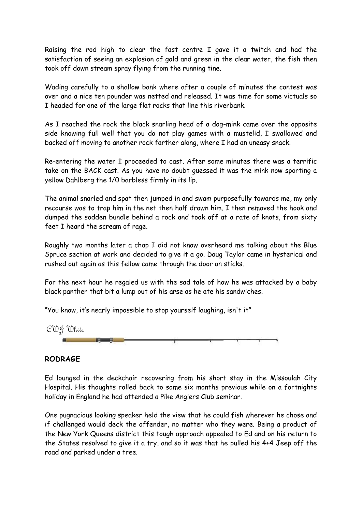Raising the rod high to clear the fast centre I gave it a twitch and had the satisfaction of seeing an explosion of gold and green in the clear water, the fish then took off down stream spray flying from the running tine.

Wading carefully to a shallow bank where after a couple of minutes the contest was over and a nice ten pounder was netted and released. It was time for some victuals so I headed for one of the large flat rocks that line this riverbank.

As I reached the rock the black snarling head of a dog-mink came over the opposite side knowing full well that you do not play games with a mustelid, I swallowed and backed off moving to another rock farther along, where I had an uneasy snack.

Re-entering the water I proceeded to cast. After some minutes there was a terrific take on the BACK cast. As you have no doubt guessed it was the mink now sporting a yellow Dahlberg the 1/0 barbless firmly in its lip.

The animal snarled and spat then jumped in and swam purposefully towards me, my only recourse was to trap him in the net then half drown him. I then removed the hook and dumped the sodden bundle behind a rock and took off at a rate of knots, from sixty feet I heard the scream of rage.

Roughly two months later a chap I did not know overheard me talking about the Blue Spruce section at work and decided to give it a go. Doug Taylor came in hysterical and rushed out again as this fellow came through the door on sticks.

For the next hour he regaled us with the sad tale of how he was attacked by a baby black panther that bit a lump out of his arse as he ate his sandwiches.

"You know, it's nearly impossible to stop yourself laughing, isn't it"



#### **RODRAGE**

Ed lounged in the deckchair recovering from his short stay in the Missoulah City Hospital. His thoughts rolled back to some six months previous while on a fortnights holiday in England he had attended a Pike Anglers Club seminar.

One pugnacious looking speaker held the view that he could fish wherever he chose and if challenged would deck the offender, no matter who they were. Being a product of the New York Queens district this tough approach appealed to Ed and on his return to the States resolved to give it a try, and so it was that he pulled his 4+4 Jeep off the road and parked under a tree.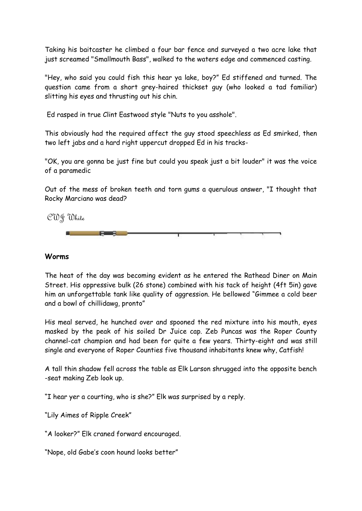Taking his baitcaster he climbed a four bar fence and surveyed a two acre lake that just screamed "Smallmouth Bass", walked to the waters edge and commenced casting.

"Hey, who said you could fish this hear ya lake, boy?" Ed stiffened and turned. The question came from a short grey-haired thickset guy (who looked a tad familiar) slitting his eyes and thrusting out his chin.

Ed rasped in true Clint Eastwood style "Nuts to you asshole".

This obviously had the required affect the guy stood speechless as Ed smirked, then two left jabs and a hard right uppercut dropped Ed in his tracks-

"OK, you are gonna be just fine but could you speak just a bit louder" it was the voice of a paramedic

Out of the mess of broken teeth and torn gums a querulous answer, "I thought that Rocky Marciano was dead?

CWJ White

**Part of the United States** 

#### **Worms**

The heat of the day was becoming evident as he entered the Rathead Diner on Main Street. His oppressive bulk (26 stone) combined with his tack of height (4ft 5in) gave him an unforgettable tank like quality of aggression. He bellowed "Gimmee a cold beer and a bowl of chillidawg, pronto"

His meal served, he hunched over and spooned the red mixture into his mouth, eyes masked by the peak of his soiled Dr Juice cap. Zeb Puncas was the Roper County channel-cat champion and had been for quite a few years. Thirty-eight and was still single and everyone of Roper Counties five thousand inhabitants knew why, Catfish!

A tall thin shadow fell across the table as Elk Larson shrugged into the opposite bench -seat making Zeb look up.

"I hear yer a courting, who is she?" Elk was surprised by a reply.

"Lily Aimes of Ripple Creek"

"A looker?" Elk craned forward encouraged.

"Nope, old Gabe"s coon hound looks better"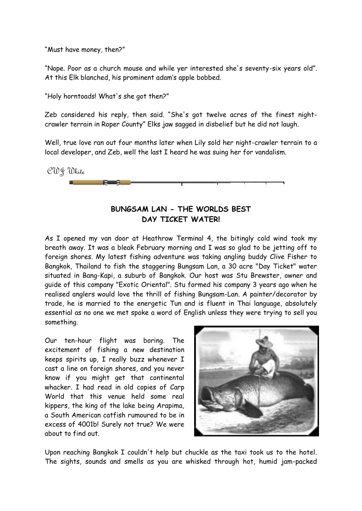"Must have money, then?"

"Nope. Poor as a church mouse and while yer interested she's seventy-six years old". At this Elk blanched, his prominent adam"s apple bobbed.

"Holy horntoads! What's she got then?"

Zeb considered his reply, then said. "She's got twelve acres of the finest nightcrawler terrain in Roper County" Elks jaw sagged in disbelief but he did not laugh.

Well, true love ran out four months later when Lily sold her night-crawler terrain to a local developer, and Zeb, well the last I heard he was suing her for vandalism.



# **BUNGSAM LAN - THE WORLDS BEST DAY TICKET WATER!**

As I opened my van door at Heathrow Terminal 4, the bitingly cold wind took my breath away. It was a bleak February morning and I was so glad to be jetting off to foreign shores. My latest fishing adventure was taking angling buddy Clive Fisher to Bangkok, Thailand to fish the staggering Bungsam Lan, a 30 acre "Day Ticket" water situated in Bang-Kapi, a suburb of Bangkok. Our host was Stu Brewster, owner and guide of this company "Exotic Oriental". Stu formed his company 3 years ago when he realised anglers would love the thrill of fishing Bungsam-Lan. A painter/decorator by trade, he is married to the energetic Tun and is fluent in Thai language, absolutely essential as no one we met spoke a word of English unless they were trying to sell you something.

Our ten-hour flight was boring. The excitement of fishing a new destination keeps spirits up, I really buzz whenever I cast a line on foreign shores, and you never know if you might get that continental whacker. I had read in old copies of Carp World that this venue held some real kippers, the king of the lake being Arapima, a South American catfish rumoured to be in excess of 4001b! Surely not true? We were about to find out.



Upon reaching Bangkok I couldn't help but chuckle as the taxi took us to the hotel. The sights, sounds and smells as you are whisked through hot, humid jam-packed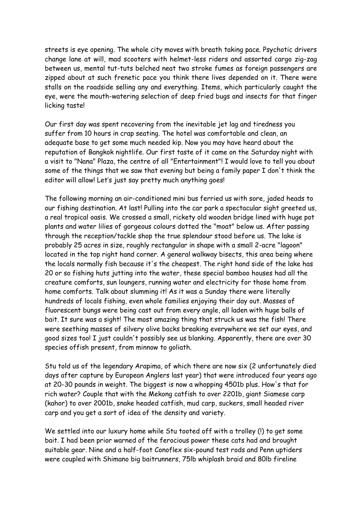streets is eye opening. The whole city moves with breath taking pace. Psychotic drivers change lane at will, mad scooters with helmet-less riders and assorted cargo zig-zag between us, mental tut-tuts belched neat two stroke fumes as foreign passengers are zipped about at such frenetic pace you think there lives depended on it. There were stalls on the roadside selling any and everything. Items, which particularly caught the eye, were the mouth-watering selection of deep fried bugs and insects for that finger licking taste!

Our first day was spent recovering from the inevitable jet lag and tiredness you suffer from 10 hours in crap seating. The hotel was comfortable and clean, an adequate base to get some much needed kip. Now you may have heard about the reputation of Bangkok nightlife. Our first taste of it came on the Saturday night with a visit to "Nana" Plaza, the centre of all "Entertainment"! I would love to tell you about some of the things that we saw that evening but being a family paper I don't think the editor will allow! Let's just say pretty much anything goes!

The following morning an air-conditioned mini bus ferried us with sore, jaded heads to our fishing destination. At last! Pulling into the car park a spectacular sight greeted us, a real tropical oasis. We crossed a small, rickety old wooden bridge lined with huge pot plants and water lilies of gorgeous colours dotted the "moat" below us. After passing through the reception/tackle shop the true splendour stood before us. The lake is probably 25 acres in size, roughly rectangular in shape with a small 2-acre "lagoon" located in the top right hand corner. A general walkway bisects, this area being where the locals normally fish because it's the cheapest. The right hand side of the lake has 20 or so fishing huts jutting into the water, these special bamboo houses had all the creature comforts, sun loungers, running water and electricity for those home from home comforts. Talk about slumming it! As it was a Sunday there were literally hundreds of locals fishing, even whole families enjoying their day out. Masses of fluorescent bungs were being cast out from every angle, all laden with huge balls of bait. It sure was a sight! The most amazing thing that struck us was the fish! There were seething masses of silvery olive backs breaking everywhere we set our eyes, and good sizes too! I just couldn't possibly see us blanking. Apparently, there are over 30 species offish present, from minnow to goliath.

Stu told us of the legendary Arapima, of which there are now six (2 unfortunately died days after capture by European Anglers last year) that were introduced four years ago at 20-30 pounds in weight. The biggest is now a whopping 4501b plus. How's that for rich water? Couple that with the Mekong catfish to over 2201b, giant Siamese carp (kahor) to over 2001b, snake headed catfish, mud carp, suckers, small headed river carp and you get a sort of idea of the density and variety.

We settled into our luxury home while Stu tooted off with a trolley (!) to get some bait. I had been prior warned of the ferocious power these cats had and brought suitable gear. Nine and a half-foot Conoflex six-pound test rods and Penn uptiders were coupled with Shimano big baitrunners, 75lb whiplash braid and 80lb fireline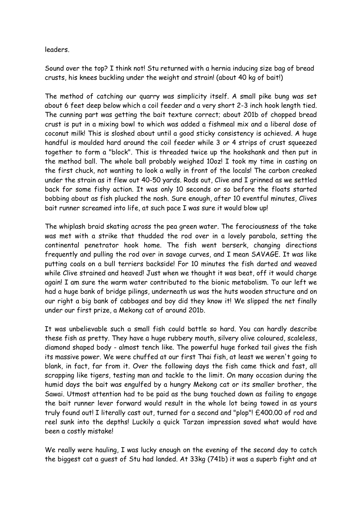leaders.

Sound over the top? I think not! Stu returned with a hernia inducing size bag of bread crusts, his knees buckling under the weight and strain! (about 40 kg of bait!)

The method of catching our quarry was simplicity itself. A small pike bung was set about 6 feet deep below which a coil feeder and a very short 2-3 inch hook length tied. The cunning part was getting the bait texture correct; about 201b of chopped bread crust is put in a mixing bowl to which was added a fishmeal mix and a liberal dose of coconut milk! This is sloshed about until a good sticky consistency is achieved. A huge handful is moulded hard around the coil feeder while 3 or 4 strips of crust squeezed together to form a "block". This is threaded twice up the hookshank and then put in the method ball. The whole ball probably weighed 10oz! I took my time in casting on the first chuck, not wanting to look a wally in front of the locals! The carbon creaked under the strain as it flew out 40-50 yards. Rods out, Clive and I grinned as we settled back for some fishy action. It was only 10 seconds or so before the floats started bobbing about as fish plucked the nosh. Sure enough, after 10 eventful minutes, Clives bait runner screamed into life, at such pace I was sure it would blow up!

The whiplash braid skating across the pea green water. The ferociousness of the take was met with a strike that thudded the rod over in a lovely parabola, setting the continental penetrator hook home. The fish went berserk, changing directions frequently and pulling the rod over in savage curves, and I mean SAVAGE. It was like putting coals on a bull terriers backside! For 10 minutes the fish darted and weaved while Clive strained and heaved! Just when we thought it was beat, off it would charge again! I am sure the warm water contributed to the bionic metabolism. To our left we had a huge bank of bridge pilings, underneath us was the huts wooden structure and on our right a big bank of cabbages and boy did they know it! We slipped the net finally under our first prize, a Mekong cat of around 201b.

It was unbelievable such a small fish could battle so hard. You can hardly describe these fish as pretty. They have a huge rubbery mouth, silvery olive coloured, scaleless, diamond shaped body - almost tench like. The powerful huge forked tail gives the fish its massive power. We were chuffed at our first Thai fish, at least we weren't going to blank, in fact, far from it. Over the following days the fish came thick and fast, all scrapping like tigers, testing man and tackle to the limit. On many occasion during the humid days the bait was engulfed by a hungry Mekong cat or its smaller brother, the Sawai. Utmost attention had to be paid as the bung touched down as failing to engage the bait runner lever forward would result in the whole lot being towed in as yours truly found out! I literally cast out, turned for a second and "plop"! £400.00 of rod and reel sunk into the depths! Luckily a quick Tarzan impression saved what would have been a costly mistake!

We really were hauling, I was lucky enough on the evening of the second day to catch the biggest cat a guest of Stu had landed. At 33kg (741b) it was a superb fight and at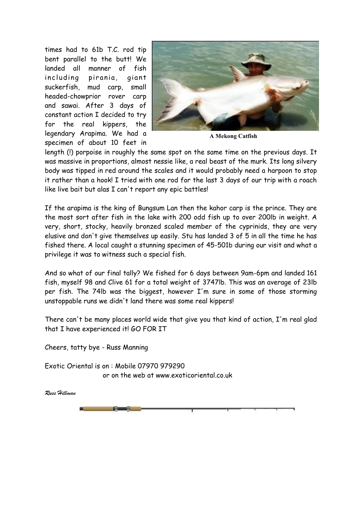times had to 61b T.C. rod tip bent parallel to the butt! We landed all manner of fish including pirania, giant suckerfish, mud carp, small headed-chowprior rover carp and sawai. After 3 days of constant action I decided to try for the real kippers, the legendary Arapima. We had a specimen of about 10 feet in



**A Mekong Catfish**

length (!) porpoise in roughly the same spot on the same time on the previous days. It was massive in proportions, almost nessie like, a real beast of the murk. Its long silvery body was tipped in red around the scales and it would probably need a harpoon to stop it rather than a hook! I tried with one rod for the last 3 days of our trip with a roach like live bait but alas I can't report any epic battles!

If the arapima is the king of Bungsum Lan then the kahor carp is the prince. They are the most sort after fish in the lake with 200 odd fish up to over 200lb in weight. A very, short, stocky, heavily bronzed scaled member of the cyprinids, they are very elusive and don't give themselves up easily. Stu has landed 3 of 5 in all the time he has fished there. A local caught a stunning specimen of 45-501b during our visit and what a privilege it was to witness such a special fish.

And so what of our final tally? We fished for 6 days between 9am-6pm and landed 161 fish, myself 98 and Clive 61 for a total weight of 3747lb. This was an average of 23lb per fish. The 74lb was the biggest, however I'm sure in some of those storming unstoppable runs we didn't land there was some real kippers!

There can't be many places world wide that give you that kind of action, I'm real glad that I have experienced it! GO FOR IT

Cheers, tatty bye - Russ Manning

Exotic Oriental is on : Mobile 07970 979290 or on the web at www.exoticoriental.co.uk

*Russ Hillman*